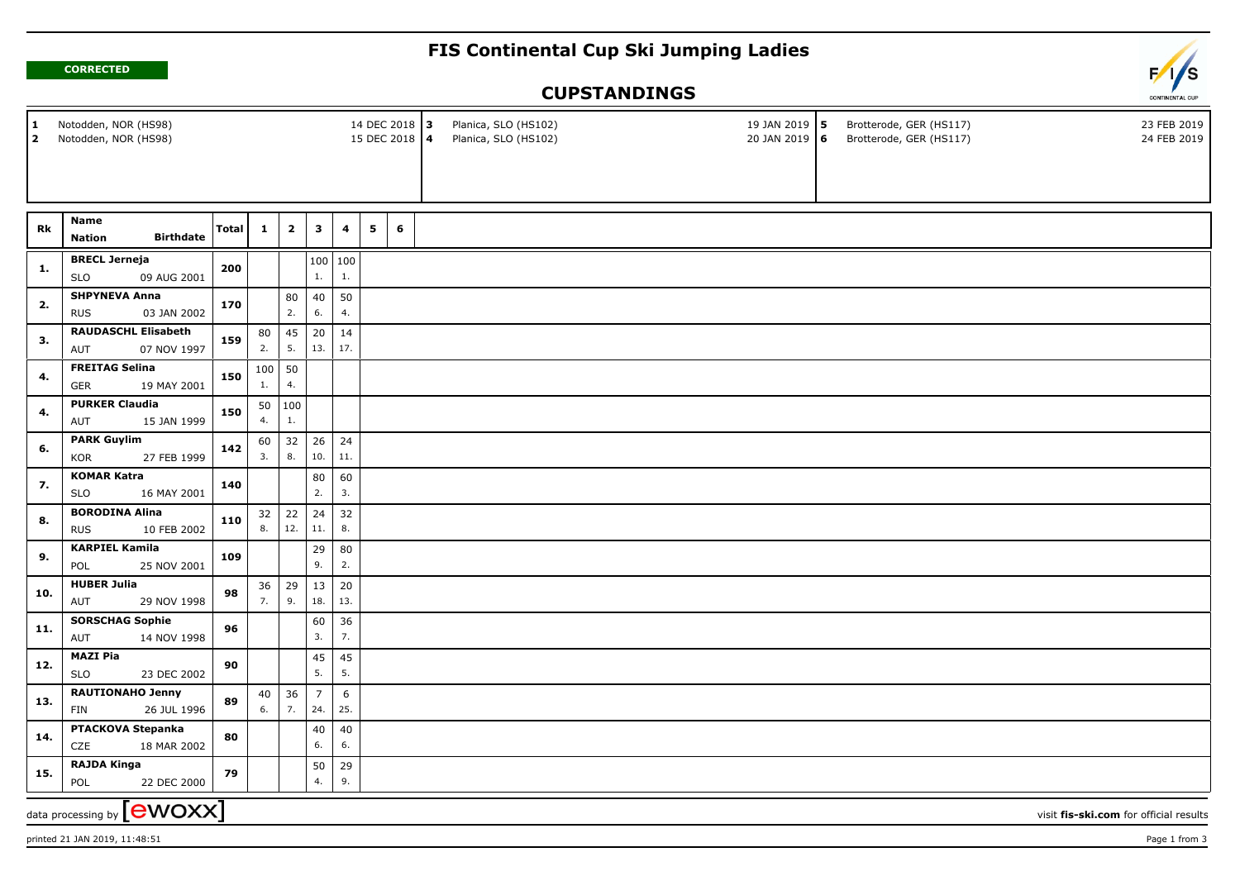## **FIS Continental Cup Ski Jumping Ladies**





## **CUPSTANDINGS**

| Notodden, NOR (HS98)<br>14 DEC 2018 3<br>1<br>Notodden, NOR (HS98)<br>15 DEC 2018 4<br>$\overline{2}$ |                                                   |              |              |                         |                |                         |   |  |   | Planica, SLO (HS102)<br>Planica, SLO (HS102) |  | 19 JAN 2019 5<br>20 JAN 2019 6 | Brotterode, GER (HS117)<br>Brotterode, GER (HS117) |                                        | 23 FEB 2019<br>24 FEB 2019 |
|-------------------------------------------------------------------------------------------------------|---------------------------------------------------|--------------|--------------|-------------------------|----------------|-------------------------|---|--|---|----------------------------------------------|--|--------------------------------|----------------------------------------------------|----------------------------------------|----------------------------|
|                                                                                                       |                                                   |              |              |                         |                |                         |   |  |   |                                              |  |                                |                                                    |                                        |                            |
|                                                                                                       | Name                                              |              |              |                         |                |                         |   |  |   |                                              |  |                                |                                                    |                                        |                            |
| Rk                                                                                                    | <b>Birthdate</b><br><b>Nation</b>                 | <b>Total</b> | $\mathbf{1}$ | $\overline{\mathbf{2}}$ | $\mathbf{3}$   | $\overline{\mathbf{4}}$ | 5 |  | 6 |                                              |  |                                |                                                    |                                        |                            |
|                                                                                                       | <b>BRECL Jerneja</b>                              |              |              |                         |                | 100   100               |   |  |   |                                              |  |                                |                                                    |                                        |                            |
| 1.                                                                                                    | <b>SLO</b><br>09 AUG 2001                         | 200          |              |                         | 1.             | $1. \,$                 |   |  |   |                                              |  |                                |                                                    |                                        |                            |
|                                                                                                       | <b>SHPYNEVA Anna</b><br>03 JAN 2002<br><b>RUS</b> |              |              | 80                      | 40             | 50                      |   |  |   |                                              |  |                                |                                                    |                                        |                            |
| 2.                                                                                                    |                                                   | 170          |              | 2.                      | 6.             | 4.                      |   |  |   |                                              |  |                                |                                                    |                                        |                            |
|                                                                                                       | <b>RAUDASCHL Elisabeth</b>                        |              | 80           | 45                      | 20             | 14                      |   |  |   |                                              |  |                                |                                                    |                                        |                            |
| 3.                                                                                                    | 07 NOV 1997<br>AUT                                | 159          | 2.           | 5.                      | 13.            | 17.                     |   |  |   |                                              |  |                                |                                                    |                                        |                            |
|                                                                                                       | <b>FREITAG Selina</b>                             | 150          | 100          | 50                      |                |                         |   |  |   |                                              |  |                                |                                                    |                                        |                            |
| 4.                                                                                                    | <b>GER</b><br>19 MAY 2001                         |              | 1.           | 4.                      |                |                         |   |  |   |                                              |  |                                |                                                    |                                        |                            |
|                                                                                                       | <b>PURKER Claudia</b>                             | 150          | 50           | 100                     |                |                         |   |  |   |                                              |  |                                |                                                    |                                        |                            |
| 4.                                                                                                    | 15 JAN 1999<br>AUT                                |              | 4.           | 1.                      |                |                         |   |  |   |                                              |  |                                |                                                    |                                        |                            |
|                                                                                                       | <b>PARK Guylim</b>                                |              | 60           | 32                      | 26             | 24                      |   |  |   |                                              |  |                                |                                                    |                                        |                            |
| 6.                                                                                                    | <b>KOR</b><br>27 FEB 1999                         | 142          | 3.           | 8.                      | 10.            | 11.                     |   |  |   |                                              |  |                                |                                                    |                                        |                            |
| 7.                                                                                                    | <b>KOMAR Katra</b>                                | 140          |              |                         | 80             | 60                      |   |  |   |                                              |  |                                |                                                    |                                        |                            |
|                                                                                                       | <b>SLO</b><br>16 MAY 2001                         |              |              |                         | 2.             | 3.                      |   |  |   |                                              |  |                                |                                                    |                                        |                            |
|                                                                                                       | <b>BORODINA Alina</b>                             | 110          | 32           | 22                      | $\vert$ 24     | 32                      |   |  |   |                                              |  |                                |                                                    |                                        |                            |
| 8.                                                                                                    | <b>RUS</b><br>10 FEB 2002                         |              | 8.           | 12.                     | 11.            | 8.                      |   |  |   |                                              |  |                                |                                                    |                                        |                            |
|                                                                                                       | <b>KARPIEL Kamila</b>                             |              |              |                         | 29             | 80                      |   |  |   |                                              |  |                                |                                                    |                                        |                            |
| 9.                                                                                                    | POL<br>25 NOV 2001                                | 109          |              |                         | 9.             | 2.                      |   |  |   |                                              |  |                                |                                                    |                                        |                            |
|                                                                                                       | <b>HUBER Julia</b>                                |              | 36           | 29                      | $\vert$ 13     | 20                      |   |  |   |                                              |  |                                |                                                    |                                        |                            |
| 10.                                                                                                   | 29 NOV 1998<br>AUT                                | 98           | 7.           | 9.                      | 18.            | 13.                     |   |  |   |                                              |  |                                |                                                    |                                        |                            |
|                                                                                                       | <b>SORSCHAG Sophie</b>                            |              |              |                         | 60             | 36                      |   |  |   |                                              |  |                                |                                                    |                                        |                            |
| 11.                                                                                                   | 14 NOV 1998<br>AUT                                | 96           |              |                         | 3.             | 7.                      |   |  |   |                                              |  |                                |                                                    |                                        |                            |
|                                                                                                       | <b>MAZI Pia</b>                                   |              |              |                         | $45\,$         | 45                      |   |  |   |                                              |  |                                |                                                    |                                        |                            |
| 12.                                                                                                   | <b>SLO</b><br>23 DEC 2002                         | 90           |              |                         | 5.             | 5.                      |   |  |   |                                              |  |                                |                                                    |                                        |                            |
|                                                                                                       | <b>RAUTIONAHO Jenny</b>                           |              | 40           | 36                      | $\overline{7}$ | $6\phantom{.}6$         |   |  |   |                                              |  |                                |                                                    |                                        |                            |
| 13.                                                                                                   | FIN<br>26 JUL 1996                                | 89           | 6.           | 7.                      | 24.            | 25.                     |   |  |   |                                              |  |                                |                                                    |                                        |                            |
|                                                                                                       | PTACKOVA Stepanka                                 | 80           |              |                         | 40             | 40                      |   |  |   |                                              |  |                                |                                                    |                                        |                            |
| 14.                                                                                                   | CZE<br>18 MAR 2002                                |              |              |                         | 6.             | 6.                      |   |  |   |                                              |  |                                |                                                    |                                        |                            |
|                                                                                                       | <b>RAJDA Kinga</b>                                |              |              |                         | 50             | 29                      |   |  |   |                                              |  |                                |                                                    |                                        |                            |
| 15.                                                                                                   | POL<br>22 DEC 2000                                | 79           |              |                         | 4.             | 9.                      |   |  |   |                                              |  |                                |                                                    |                                        |                            |
|                                                                                                       | data processing by [CWOXX]                        |              |              |                         |                |                         |   |  |   |                                              |  |                                |                                                    | visit fis-ski.com for official results |                            |
|                                                                                                       |                                                   |              |              |                         |                |                         |   |  |   |                                              |  |                                |                                                    |                                        |                            |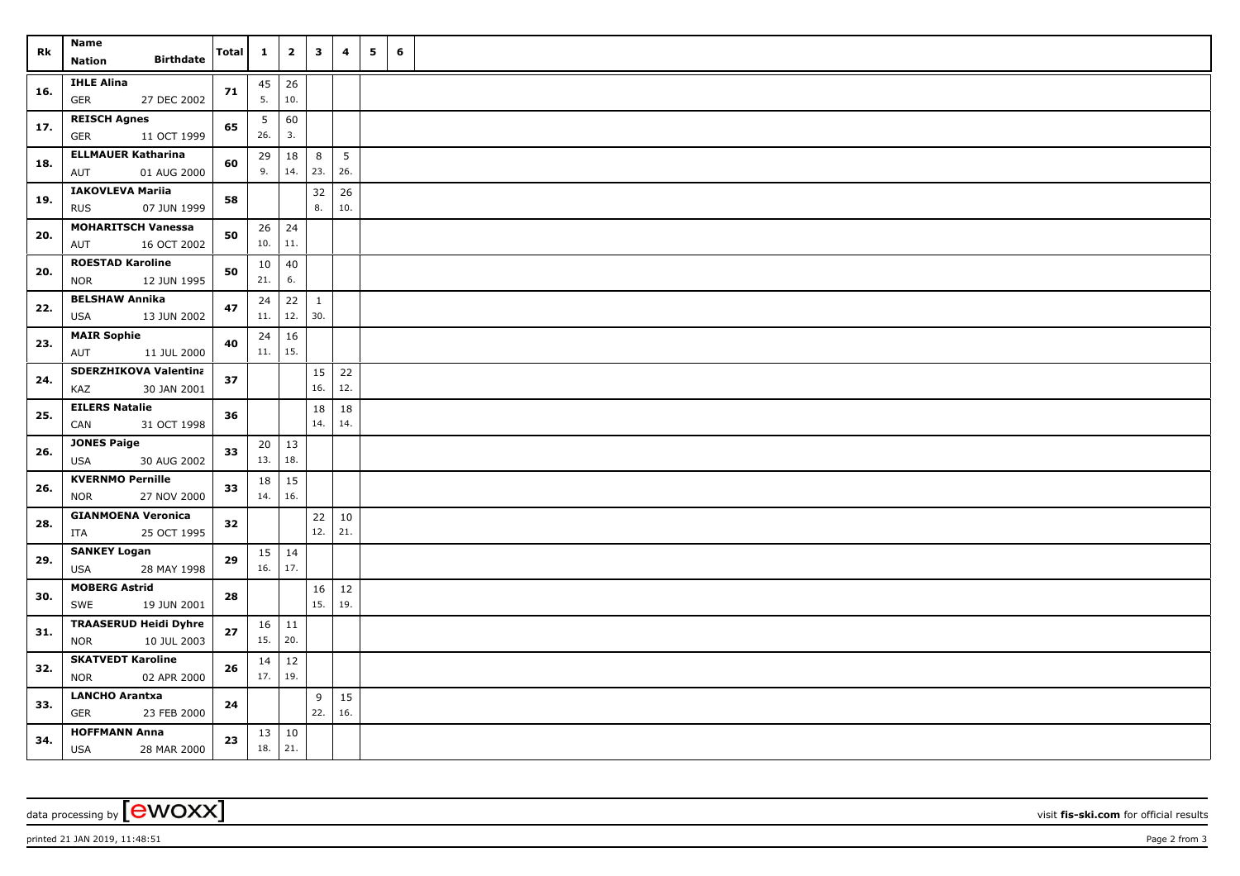| Rk  | Name<br><b>Birthdate</b><br>Nation                        | Total | $\mathbf{1}$              | $\overline{2}$ | $\mathbf{3}$        | 4                     | 5 | 6 |  |
|-----|-----------------------------------------------------------|-------|---------------------------|----------------|---------------------|-----------------------|---|---|--|
| 16. | <b>IHLE Alina</b><br><b>GER</b><br>27 DEC 2002            | 71    | $45 \mid 26$<br>5.        | 10.            |                     |                       |   |   |  |
| 17. | <b>REISCH Agnes</b><br><b>GER</b><br>11 OCT 1999          | 65    | 5<br>26.                  | 60<br>3.       |                     |                       |   |   |  |
| 18. | <b>ELLMAUER Katharina</b><br>01 AUG 2000<br>AUT           | 60    | 29<br>9.                  | 18<br>14.      | 8<br>23.            | 5 <sup>5</sup><br>26. |   |   |  |
| 19. | <b>IAKOVLEVA Mariia</b><br>07 JUN 1999<br><b>RUS</b>      | 58    |                           |                | 32<br>8.            | 26<br>10.             |   |   |  |
| 20. | <b>MOHARITSCH Vanessa</b><br>16 OCT 2002<br>AUT           | 50    | $26$ 24<br>$10.$ 11.      |                |                     |                       |   |   |  |
| 20. | <b>ROESTAD Karoline</b><br>12 JUN 1995<br><b>NOR</b>      | 50    | 10 <sup>1</sup><br>21.    | 40<br>6.       |                     |                       |   |   |  |
| 22. | <b>BELSHAW Annika</b><br>13 JUN 2002<br><b>USA</b>        | 47    | 24<br>11.                 | 22<br>12.      | $\mathbf{1}$<br>30. |                       |   |   |  |
| 23. | <b>MAIR Sophie</b><br>AUT<br>11 JUL 2000                  | 40    | $24 \mid 16$<br>$11.$ 15. |                |                     |                       |   |   |  |
| 24. | <b>SDERZHIKOVA Valentina</b><br>KAZ<br>30 JAN 2001        | 37    |                           |                | 15<br>16.           | 22<br>12.             |   |   |  |
| 25. | <b>EILERS Natalie</b><br>CAN<br>31 OCT 1998               | 36    |                           |                | 18<br>14.           | 18<br>14.             |   |   |  |
| 26. | <b>JONES Paige</b><br>USA<br>30 AUG 2002                  | 33    | $20 \mid 13$<br>13.       | 18.            |                     |                       |   |   |  |
| 26. | <b>KVERNMO Pernille</b><br>27 NOV 2000<br><b>NOR</b>      | 33    | 18<br>14.                 | 15<br>16.      |                     |                       |   |   |  |
| 28. | <b>GIANMOENA Veronica</b><br>25 OCT 1995<br>ITA           | 32    |                           |                | 22<br>12.           | $10\,$<br>21.         |   |   |  |
| 29. | <b>SANKEY Logan</b><br><b>USA</b><br>28 MAY 1998          | 29    | $15 \mid 14$<br>$16.$ 17. |                |                     |                       |   |   |  |
| 30. | <b>MOBERG Astrid</b><br>19 JUN 2001<br>SWE                | 28    |                           |                | 16<br>15.           | 12<br>19.             |   |   |  |
| 31. | <b>TRAASERUD Heidi Dyhre</b><br>10 JUL 2003<br><b>NOR</b> | 27    | $16$   11<br>15.          | 20.            |                     |                       |   |   |  |
| 32. | <b>SKATVEDT Karoline</b><br><b>NOR</b><br>02 APR 2000     | 26    | 14<br>17.   19.           | 12             |                     |                       |   |   |  |
| 33. | <b>LANCHO Arantxa</b><br><b>GER</b><br>23 FEB 2000        | 24    |                           |                | 9<br>22.            | 15<br>16.             |   |   |  |
| 34. | <b>HOFFMANN Anna</b><br>28 MAR 2000<br><b>USA</b>         | 23    | $13 \mid 10$<br>18.       | 21.            |                     |                       |   |   |  |

data processing by **CWOXX** visit **fis-ski.com** for official results